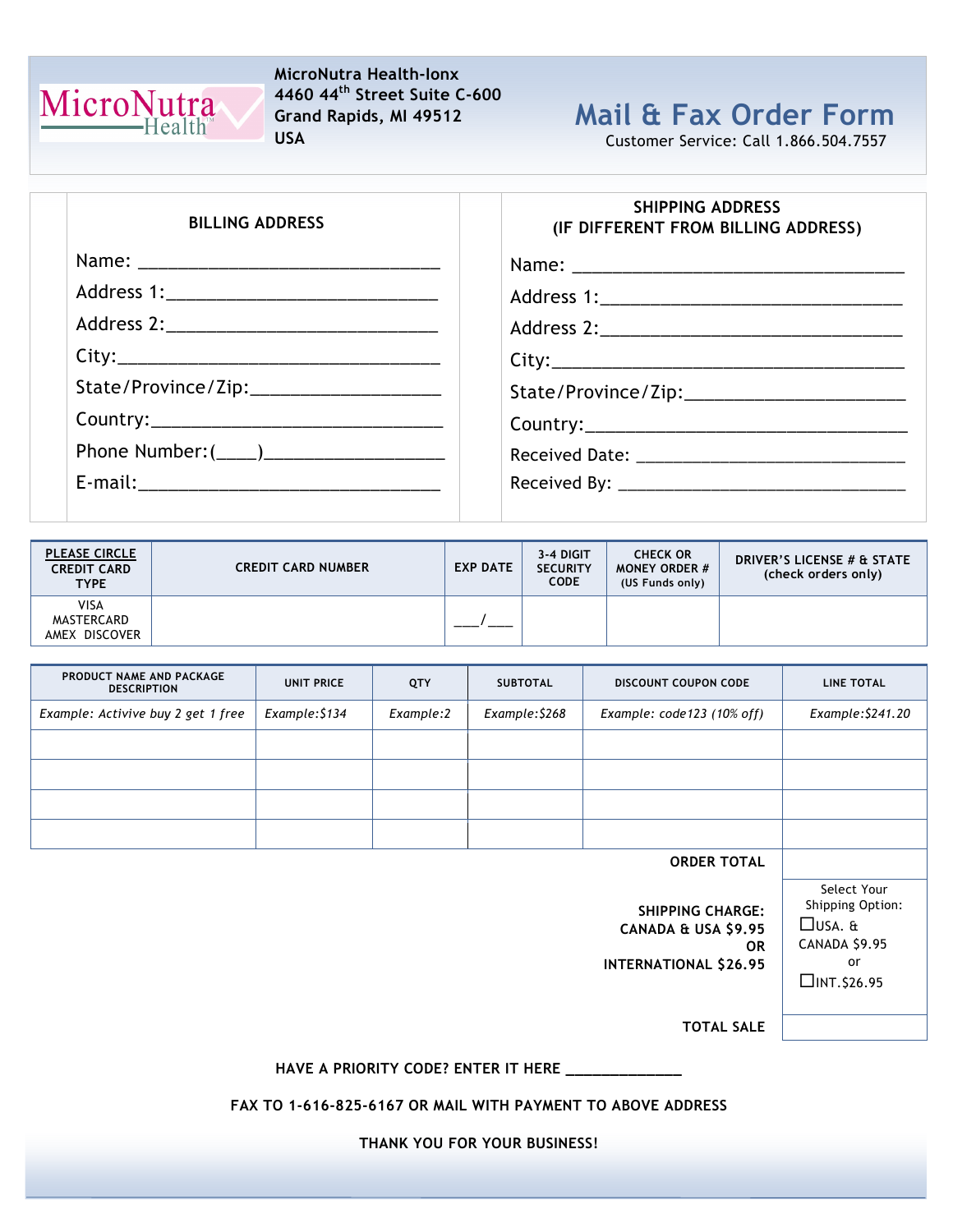

#### MicroNutra Health-Ionx 4460 44th Street Suite C-600 Grand Rapids, MI 49512 USA

# Mail & Fax Order Form

Customer Service: Call 1.866.504.7557

| <b>BILLING ADDRESS</b>                    | <b>SHIPPING ADDRESS</b><br>(IF DIFFERENT FROM BILLING ADDRESS) |
|-------------------------------------------|----------------------------------------------------------------|
|                                           |                                                                |
|                                           |                                                                |
|                                           |                                                                |
|                                           |                                                                |
| State/Province/Zip:______________________ |                                                                |
|                                           |                                                                |
| Phone Number: (____)_____________________ |                                                                |
|                                           |                                                                |
|                                           |                                                                |

| <b>PLEASE CIRCLE</b><br><b>CREDIT CARD</b><br><b>TYPE</b> | <b>CREDIT CARD NUMBER</b> | <b>EXP DATE</b> | 3-4 DIGIT<br><b>SECURITY</b><br><b>CODE</b> | <b>CHECK OR</b><br><b>MONEY ORDER #</b><br>(US Funds only) | DRIVER'S LICENSE # & STATE<br>(check orders only) |
|-----------------------------------------------------------|---------------------------|-----------------|---------------------------------------------|------------------------------------------------------------|---------------------------------------------------|
| <b>VISA</b><br>MASTERCARD<br>AMEX DISCOVER                |                           |                 |                                             |                                                            |                                                   |

| PRODUCT NAME AND PACKAGE<br><b>DESCRIPTION</b> | UNIT PRICE     | QTY       | <b>SUBTOTAL</b> | <b>DISCOUNT COUPON CODE</b>  | <b>LINE TOTAL</b> |
|------------------------------------------------|----------------|-----------|-----------------|------------------------------|-------------------|
| Example: Activive buy 2 get 1 free             | Example: \$134 | Example:2 | Example: \$268  | Example: $code123 (10% off)$ | Example: \$241.20 |
|                                                |                |           |                 |                              |                   |
|                                                |                |           |                 |                              |                   |
|                                                |                |           |                 |                              |                   |
|                                                |                |           |                 |                              |                   |
|                                                |                |           |                 |                              |                   |

ORDER TOTAL

SHIPPING CHARGE: CANADA & USA \$9.95 OR INTERNATIONAL \$26.95

Select Your Shipping Option: USA. & CANADA \$9.95 or  $\Box$ INT.\$26.95

TOTAL SALE

#### HAVE A PRIORITY CODE? ENTER IT HERE \_\_

FAX TO 1-616-825-6167 OR MAIL WITH PAYMENT TO ABOVE ADDRESS

THANK YOU FOR YOUR BUSINESS!